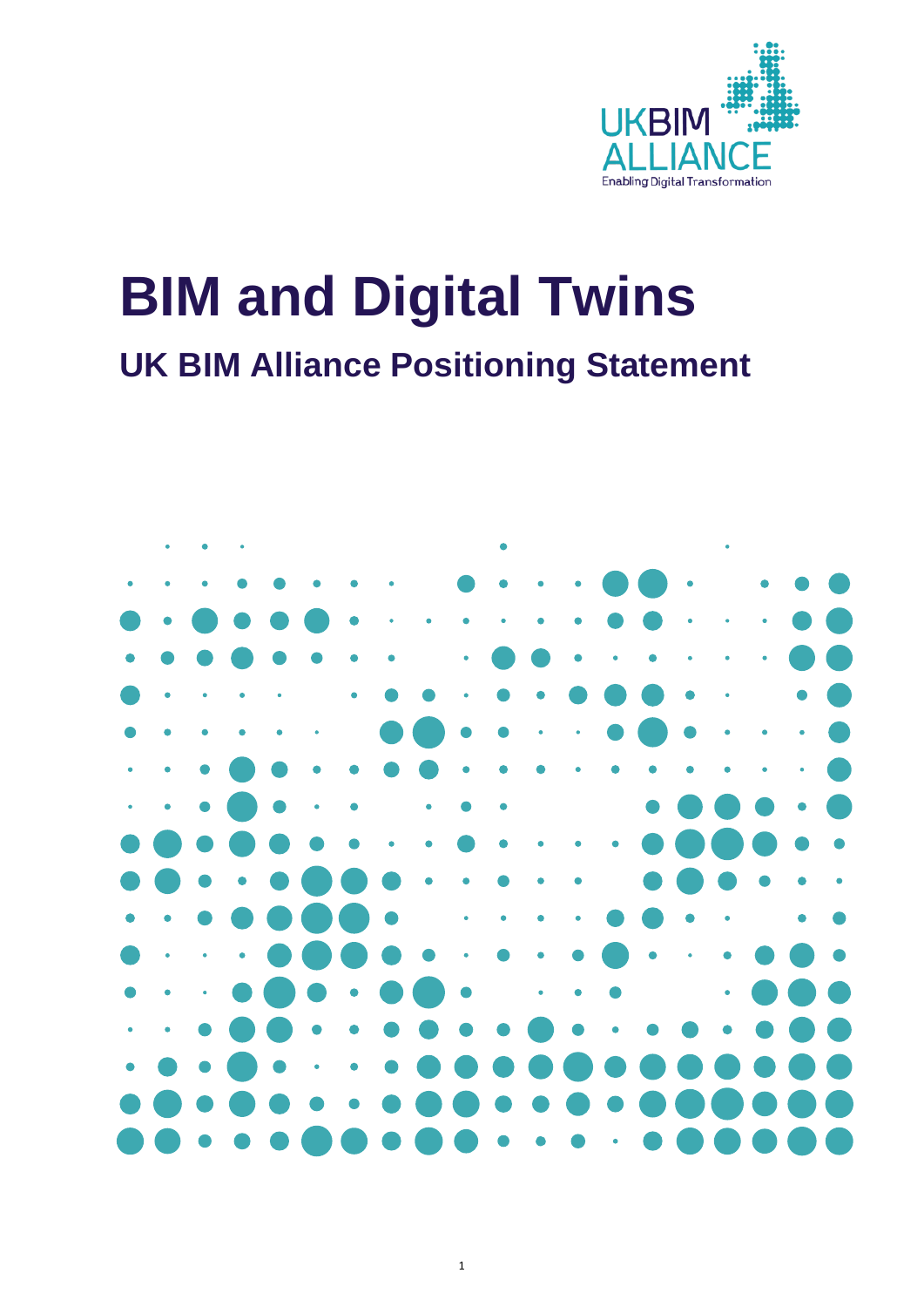

# **BIM and Digital Twins UK BIM Alliance Positioning Statement**

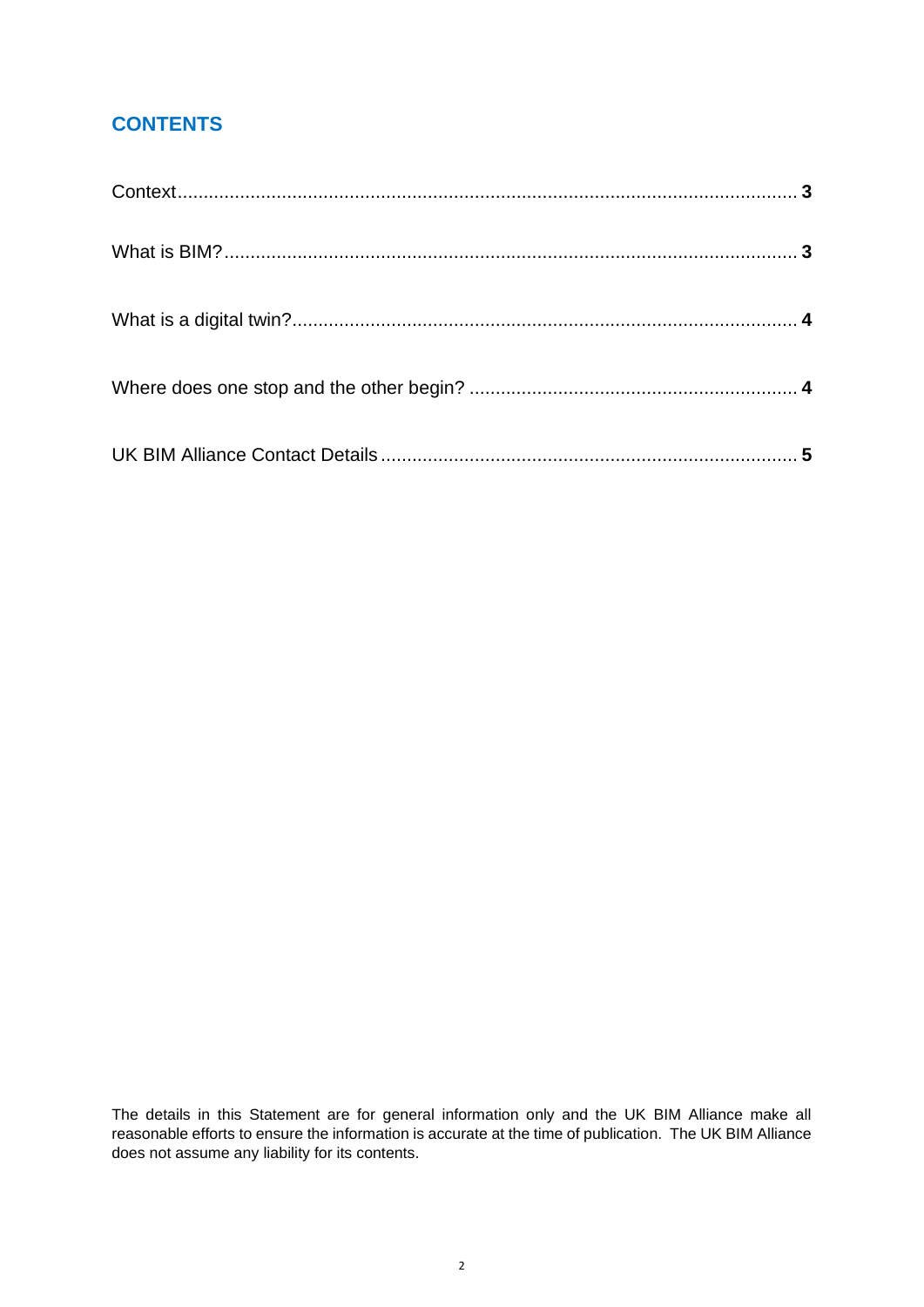# **CONTENTS**

The details in this Statement are for general information only and the UK BIM Alliance make all reasonable efforts to ensure the information is accurate at the time of publication. The UK BIM Alliance does not assume any liability for its contents.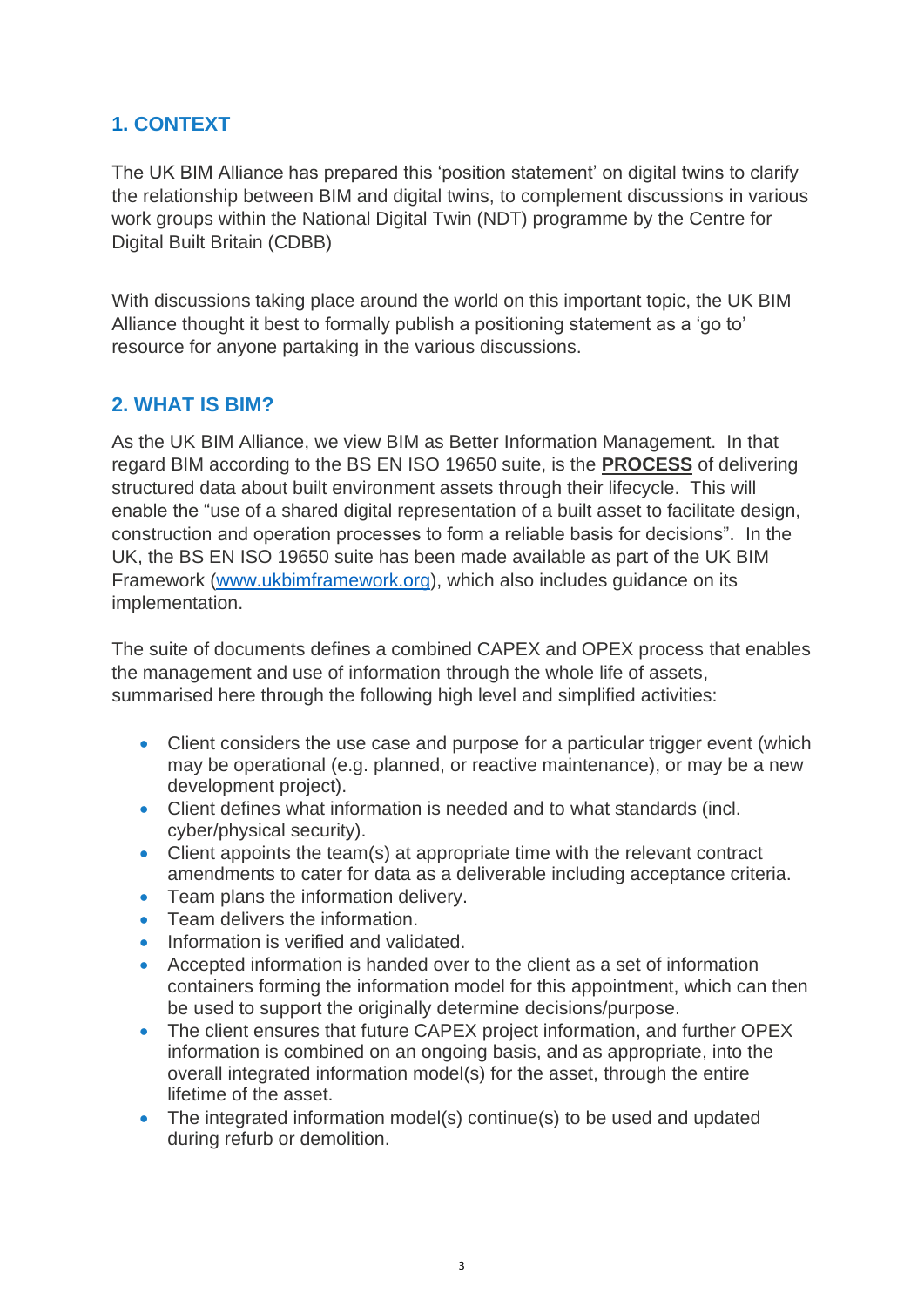# **1. CONTEXT**

The UK BIM Alliance has prepared this 'position statement' on digital twins to clarify the relationship between BIM and digital twins, to complement discussions in various work groups within the National Digital Twin (NDT) programme by the Centre for Digital Built Britain (CDBB)

With discussions taking place around the world on this important topic, the UK BIM Alliance thought it best to formally publish a positioning statement as a 'go to' resource for anyone partaking in the various discussions.

## **2. WHAT IS BIM?**

As the UK BIM Alliance, we view BIM as Better Information Management. In that regard BIM according to the BS EN ISO 19650 suite, is the **PROCESS** of delivering structured data about built environment assets through their lifecycle. This will enable the "use of a shared digital representation of a built asset to facilitate design, construction and operation processes to form a reliable basis for decisions". In the UK, the BS EN ISO 19650 suite has been made available as part of the UK BIM Framework [\(www.ukbimframework.org\)](www.ukbimframework.org), which also includes guidance on its implementation.

The suite of documents defines a combined CAPEX and OPEX process that enables the management and use of information through the whole life of assets, summarised here through the following high level and simplified activities:

- Client considers the use case and purpose for a particular trigger event (which may be operational (e.g. planned, or reactive maintenance), or may be a new development project).
- Client defines what information is needed and to what standards (incl. cyber/physical security).
- Client appoints the team(s) at appropriate time with the relevant contract amendments to cater for data as a deliverable including acceptance criteria.
- Team plans the information delivery.
- Team delivers the information.
- Information is verified and validated.
- Accepted information is handed over to the client as a set of information containers forming the information model for this appointment, which can then be used to support the originally determine decisions/purpose.
- The client ensures that future CAPEX project information, and further OPEX information is combined on an ongoing basis, and as appropriate, into the overall integrated information model(s) for the asset, through the entire lifetime of the asset.
- The integrated information model(s) continue(s) to be used and updated during refurb or demolition.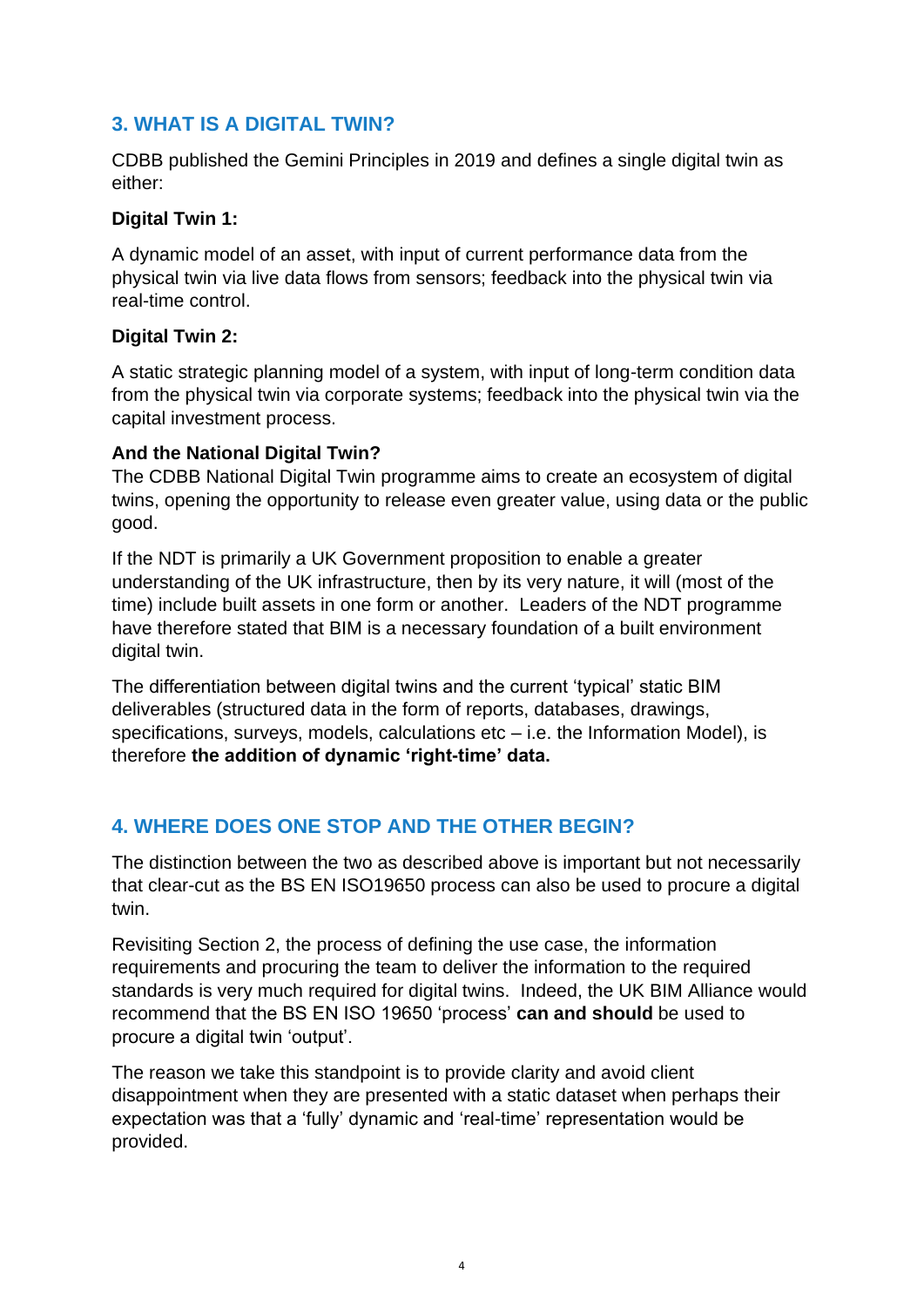## **3. WHAT IS A DIGITAL TWIN?**

CDBB published the Gemini Principles in 2019 and defines a single digital twin as either:

#### **Digital Twin 1:**

A dynamic model of an asset, with input of current performance data from the physical twin via live data flows from sensors; feedback into the physical twin via real-time control.

#### **Digital Twin 2:**

A static strategic planning model of a system, with input of long-term condition data from the physical twin via corporate systems; feedback into the physical twin via the capital investment process.

#### **And the National Digital Twin?**

The CDBB National Digital Twin programme aims to create an ecosystem of digital twins, opening the opportunity to release even greater value, using data or the public good.

If the NDT is primarily a UK Government proposition to enable a greater understanding of the UK infrastructure, then by its very nature, it will (most of the time) include built assets in one form or another. Leaders of the NDT programme have therefore stated that BIM is a necessary foundation of a built environment digital twin.

The differentiation between digital twins and the current 'typical' static BIM deliverables (structured data in the form of reports, databases, drawings, specifications, surveys, models, calculations etc – i.e. the Information Model), is therefore **the addition of dynamic 'right-time' data.**

# **4. WHERE DOES ONE STOP AND THE OTHER BEGIN?**

The distinction between the two as described above is important but not necessarily that clear-cut as the BS EN ISO19650 process can also be used to procure a digital twin.

Revisiting Section 2, the process of defining the use case, the information requirements and procuring the team to deliver the information to the required standards is very much required for digital twins. Indeed, the UK BIM Alliance would recommend that the BS EN ISO 19650 'process' **can and should** be used to procure a digital twin 'output'.

The reason we take this standpoint is to provide clarity and avoid client disappointment when they are presented with a static dataset when perhaps their expectation was that a 'fully' dynamic and 'real-time' representation would be provided.